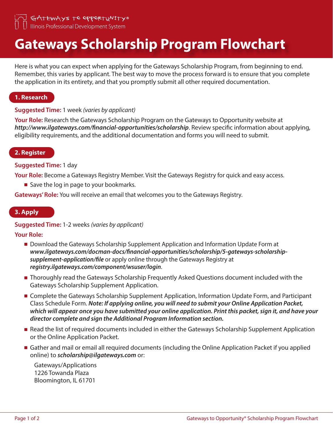GATEWAYS TO OPPORTUNITY® Illinois Professional Development System

# **Gateways Scholarship Program Flowchart**

Here is what you can expect when applying for the Gateways Scholarship Program, from beginning to end. Remember, this varies by applicant. The best way to move the process forward is to ensure that you complete the application in its entirety, and that you promptly submit all other required documentation.

# **1. Research**

## **Suggested Time:** 1 week *(varies by applicant)*

**Your Role:** Research the Gateways Scholarship Program on the Gateways to Opportunity website at *http://www.ilgateways.com/financial-opportunities/scholarship*. Review specific information about applying, eligibility requirements, and the additional documentation and forms you will need to submit.

## **2. Register**

## **Suggested Time:** 1 day

**Your Role:** Become a Gateways Registry Member. Visit the Gateways Registry for quick and easy access.

■ Save the log in page to your bookmarks.

**Gateways' Role:** You will receive an email that welcomes you to the Gateways Registry.

## **3. Apply**

## **Suggested Time:** 1-2 weeks *(varies by applicant)*

**Your Role:**

- **Download the Gateways Scholarship Supplement Application and Information Update Form at** *www.ilgateways.com/docman-docs/financial-opportunities/scholarship/5-gateways-scholarshipsupplement-application/file* or apply online through the Gateways Registry at *registry.ilgateways.com/component/wsuser/login*.
- **Thoroughly read the Gateways Scholarship Frequently Asked Questions document included with the** Gateways Scholarship Supplement Application.
- **E** Complete the Gateways Scholarship Supplement Application, Information Update Form, and Participant Class Schedule Form. *Note: If applying online, you will need to submit your Online Application Packet, which will appear once you have submitted your online application. Print this packet, sign it, and have your director complete and sign the Additional Program Information section.*
- Read the list of required documents included in either the Gateways Scholarship Supplement Application or the Online Application Packet.
- Gather and mail or email all required documents (including the Online Application Packet if you applied online) to *scholarship@ilgateways.com* or:

Gateways/Applications 1226 Towanda Plaza Bloomington, IL 61701